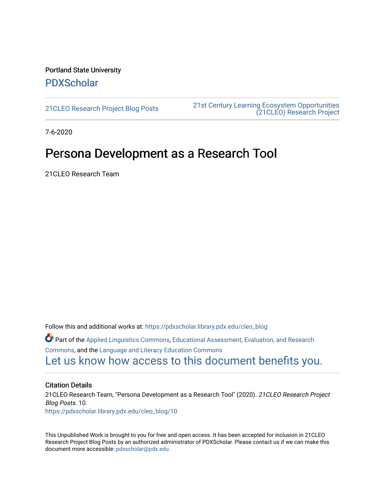### Portland State University [PDXScholar](https://pdxscholar.library.pdx.edu/)

[21CLEO Research Project Blog Posts](https://pdxscholar.library.pdx.edu/cleo_blog) [21st Century Learning Ecosystem Opportunities](https://pdxscholar.library.pdx.edu/cleo)  [\(21CLEO\) Research Project](https://pdxscholar.library.pdx.edu/cleo) 

7-6-2020

# Persona Development as a Research Tool

21CLEO Research Team

Follow this and additional works at: [https://pdxscholar.library.pdx.edu/cleo\\_blog](https://pdxscholar.library.pdx.edu/cleo_blog?utm_source=pdxscholar.library.pdx.edu%2Fcleo_blog%2F10&utm_medium=PDF&utm_campaign=PDFCoverPages)  Part of the [Applied Linguistics Commons,](http://network.bepress.com/hgg/discipline/373?utm_source=pdxscholar.library.pdx.edu%2Fcleo_blog%2F10&utm_medium=PDF&utm_campaign=PDFCoverPages) [Educational Assessment, Evaluation, and Research](http://network.bepress.com/hgg/discipline/796?utm_source=pdxscholar.library.pdx.edu%2Fcleo_blog%2F10&utm_medium=PDF&utm_campaign=PDFCoverPages)  [Commons](http://network.bepress.com/hgg/discipline/796?utm_source=pdxscholar.library.pdx.edu%2Fcleo_blog%2F10&utm_medium=PDF&utm_campaign=PDFCoverPages), and the [Language and Literacy Education Commons](http://network.bepress.com/hgg/discipline/1380?utm_source=pdxscholar.library.pdx.edu%2Fcleo_blog%2F10&utm_medium=PDF&utm_campaign=PDFCoverPages)  [Let us know how access to this document benefits you.](http://library.pdx.edu/services/pdxscholar-services/pdxscholar-feedback/?ref=https://pdxscholar.library.pdx.edu/cleo_blog/10) 

#### Citation Details

21CLEO Research Team, "Persona Development as a Research Tool" (2020). 21CLEO Research Project Blog Posts. 10. [https://pdxscholar.library.pdx.edu/cleo\\_blog/10](https://pdxscholar.library.pdx.edu/cleo_blog/10?utm_source=pdxscholar.library.pdx.edu%2Fcleo_blog%2F10&utm_medium=PDF&utm_campaign=PDFCoverPages)

This Unpublished Work is brought to you for free and open access. It has been accepted for inclusion in 21CLEO Research Project Blog Posts by an authorized administrator of PDXScholar. Please contact us if we can make this document more accessible: [pdxscholar@pdx.edu.](mailto:pdxscholar@pdx.edu)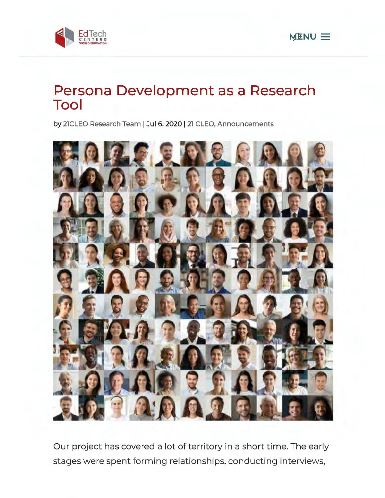



# **Persona Development as a Research Tool**

by 21CLEO Research Team | Jul 6, 2020 | 21 CLEO, Announcements



Our project has covered a lot of territory in a short time. The early stages were spent forming relationships, conducting interviews,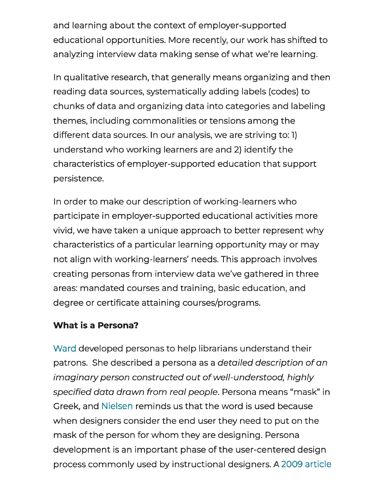and learning about the context of employer-supported educational opportunities. More recently, our work has shifted to analyzing interview data making sense of what we're learning.

In qualitative research, that generally means organizing and then reading data sources, systematically adding labels (codes) to chunks of data and organizing data into categories and labeling themes, including commonalities or tensions among the different data sources. In our analysis, we are striving to: l) understand who working learners are and 2) identify the characteristics of employer-supported education that support persistence.

In order to make our description of working-learners who participate in employer-supported educational activities more vivid, we have taken a unique approach to better represent why characteristics of a particular learning opportunity may or may not align with working-learners' needs. This approach involves creating personas from interview data we've gathered in three areas: mandated courses and training, basic education, and degree or certificate attaining courses/programs.

#### **What is a Persona?**

Ward developed personas to help librarians understand their patrons. She described a persona as a detailed description of an imaginary person constructed out of well-understood, highly specified data drawn from real people. Persona means "mask" in Greek, and Nielsen reminds us that the word is used because when designers consider the end user they need to put on the mask of the person for whom they are designing. Persona development is an important phase of the user-centered design process commonly used by instructional designers. A 2009 article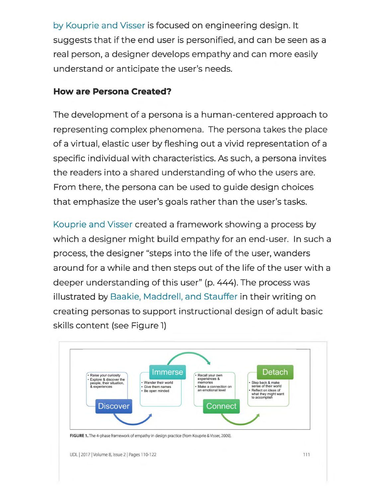by Kouprie and Visser is focused on engineering design. It suggests that if the end user is personified, and can be seen as a real person, a designer develops empathy and can more easily understand or anticipate the user's needs.

#### **How are Persona Created?**

The development of a persona is a human-centered approach to representing complex phenomena. The persona takes the place of a virtual, elastic user by fleshing out a vivid representation of a specific individual with characteristics. As such, a persona invites the readers into a shared understanding of who the users are. From there, the persona can be used to guide design choices that emphasize the user's goals rather than the user's tasks.

Kouprie and Visser created a framework showing a process by which a designer might build empathy for an end-user. In such a process, the designer "steps into the life of the user, wanders around for a while and then steps out of the life of the user with a deeper understanding of this user" (p. 444). The process was illustrated by Baakie, Maddrell, and Stauffer in their writing on creating personas to support instructional design of adult basic skills content (see Figure l)

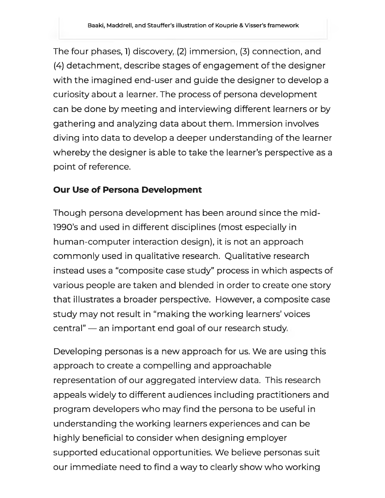The four phases, l} discovery, (2) immersion, (3) connection, and (4) detachment, describe stages of engagement of the designer with the imagined end-user and guide the designer to develop a curiosity about a learner. The process of persona development can be done by meeting and interviewing different learners or by gathering and analyzing data about them. Immersion involves diving into data to develop a deeper understanding of the learner whereby the designer is able to take the learner's perspective as a point of reference.

## **Our Use of Persona Development**

Though persona development has been around since the midl990's and used in different disciplines (most especially in human-computer interaction design), it is not an approach commonly used in qualitative research. Qualitative research instead uses a "composite case study" process in which aspects of various people are taken and blended in order to create one story that illustrates a broader perspective. However, a composite case study may not result in "making the working learners' voices central" - an important end goal of our research study.

Developing personas is a new approach for us. We are using this approach to create a compelling and approachable representation of our aggregated interview data. This research appeals widely to different audiences including practitioners and program developers who may find the persona to be useful in understanding the working learners experiences and can be highly beneficial to consider when designing employer supported educational opportunities. We believe personas suit our immediate need to find a way to clearly show who working